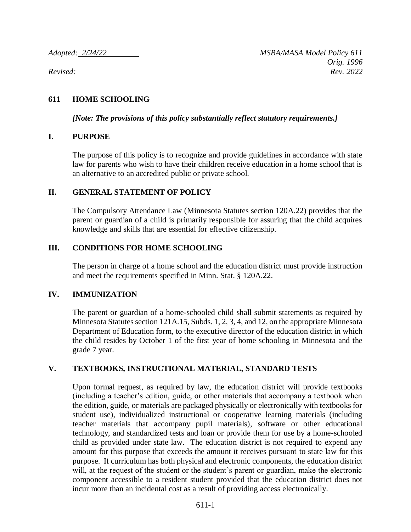# **611 HOME SCHOOLING**

*[Note: The provisions of this policy substantially reflect statutory requirements.]*

## **I. PURPOSE**

The purpose of this policy is to recognize and provide guidelines in accordance with state law for parents who wish to have their children receive education in a home school that is an alternative to an accredited public or private school.

## **II. GENERAL STATEMENT OF POLICY**

The Compulsory Attendance Law (Minnesota Statutes section 120A.22) provides that the parent or guardian of a child is primarily responsible for assuring that the child acquires knowledge and skills that are essential for effective citizenship.

## **III. CONDITIONS FOR HOME SCHOOLING**

The person in charge of a home school and the education district must provide instruction and meet the requirements specified in Minn. Stat. § 120A.22.

#### **IV. IMMUNIZATION**

The parent or guardian of a home-schooled child shall submit statements as required by Minnesota Statutes section 121A.15, Subds. 1, 2, 3, 4, and 12, on the appropriate Minnesota Department of Education form, to the executive director of the education district in which the child resides by October 1 of the first year of home schooling in Minnesota and the grade 7 year.

## **V. TEXTBOOKS, INSTRUCTIONAL MATERIAL, STANDARD TESTS**

Upon formal request, as required by law, the education district will provide textbooks (including a teacher's edition, guide, or other materials that accompany a textbook when the edition, guide, or materials are packaged physically or electronically with textbooks for student use), individualized instructional or cooperative learning materials (including teacher materials that accompany pupil materials), software or other educational technology, and standardized tests and loan or provide them for use by a home-schooled child as provided under state law. The education district is not required to expend any amount for this purpose that exceeds the amount it receives pursuant to state law for this purpose. If curriculum has both physical and electronic components, the education district will, at the request of the student or the student's parent or guardian, make the electronic component accessible to a resident student provided that the education district does not incur more than an incidental cost as a result of providing access electronically.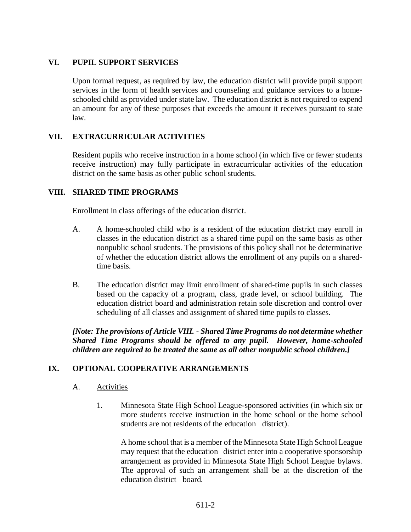## **VI. PUPIL SUPPORT SERVICES**

Upon formal request, as required by law, the education district will provide pupil support services in the form of health services and counseling and guidance services to a homeschooled child as provided under state law. The education district is not required to expend an amount for any of these purposes that exceeds the amount it receives pursuant to state law.

## **VII. EXTRACURRICULAR ACTIVITIES**

Resident pupils who receive instruction in a home school (in which five or fewer students receive instruction) may fully participate in extracurricular activities of the education district on the same basis as other public school students.

## **VIII. SHARED TIME PROGRAMS**

Enrollment in class offerings of the education district.

- A. A home-schooled child who is a resident of the education district may enroll in classes in the education district as a shared time pupil on the same basis as other nonpublic school students. The provisions of this policy shall not be determinative of whether the education district allows the enrollment of any pupils on a sharedtime basis.
- B. The education district may limit enrollment of shared-time pupils in such classes based on the capacity of a program, class, grade level, or school building. The education district board and administration retain sole discretion and control over scheduling of all classes and assignment of shared time pupils to classes.

*[Note: The provisions of Article VIII. - Shared Time Programs do not determine whether Shared Time Programs should be offered to any pupil. However, home-schooled children are required to be treated the same as all other nonpublic school children.]*

## **IX. OPTIONAL COOPERATIVE ARRANGEMENTS**

- A. Activities
	- 1. Minnesota State High School League-sponsored activities (in which six or more students receive instruction in the home school or the home school students are not residents of the education district).

A home school that is a member of the Minnesota State High School League may request that the education district enter into a cooperative sponsorship arrangement as provided in Minnesota State High School League bylaws. The approval of such an arrangement shall be at the discretion of the education district board.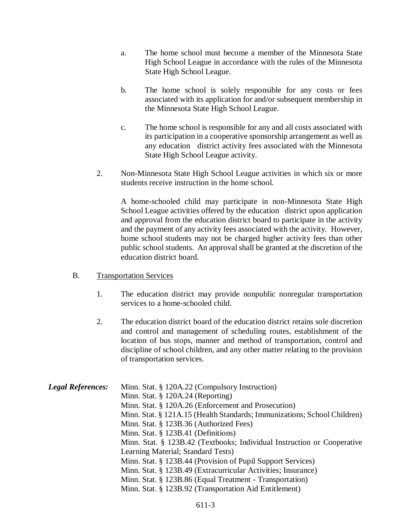- a. The home school must become a member of the Minnesota State High School League in accordance with the rules of the Minnesota State High School League.
- b. The home school is solely responsible for any costs or fees associated with its application for and/or subsequent membership in the Minnesota State High School League.
- c. The home school is responsible for any and all costs associated with its participation in a cooperative sponsorship arrangement as well as any education district activity fees associated with the Minnesota State High School League activity.
- 2. Non-Minnesota State High School League activities in which six or more students receive instruction in the home school.

A home-schooled child may participate in non-Minnesota State High School League activities offered by the education district upon application and approval from the education district board to participate in the activity and the payment of any activity fees associated with the activity. However, home school students may not be charged higher activity fees than other public school students. An approval shall be granted at the discretion of the education district board.

- B. Transportation Services
	- 1. The education district may provide nonpublic nonregular transportation services to a home-schooled child.
	- 2. The education district board of the education district retains sole discretion and control and management of scheduling routes, establishment of the location of bus stops, manner and method of transportation, control and discipline of school children, and any other matter relating to the provision of transportation services.

| <b>Legal References:</b> | Minn. Stat. § 120A.22 (Compulsory Instruction)                           |
|--------------------------|--------------------------------------------------------------------------|
|                          | Minn. Stat. $\S$ 120A.24 (Reporting)                                     |
|                          | Minn. Stat. § 120A.26 (Enforcement and Prosecution)                      |
|                          | Minn. Stat. § 121A.15 (Health Standards; Immunizations; School Children) |
|                          | Minn. Stat. § 123B.36 (Authorized Fees)                                  |
|                          | Minn. Stat. § 123B.41 (Definitions)                                      |
|                          | Minn. Stat. § 123B.42 (Textbooks; Individual Instruction or Cooperative  |
|                          | Learning Material; Standard Tests)                                       |
|                          | Minn. Stat. § 123B.44 (Provision of Pupil Support Services)              |
|                          | Minn. Stat. § 123B.49 (Extracurricular Activities; Insurance)            |
|                          | Minn. Stat. § 123B.86 (Equal Treatment - Transportation)                 |
|                          | Minn. Stat. § 123B.92 (Transportation Aid Entitlement)                   |